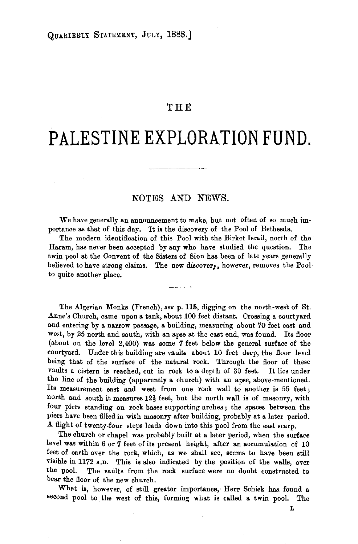## **THE**

## **PALESTINE EXPLORATION FUND.**

## NOTES AND NEWS.

We have generally an announcement to make, but not often of so much im· portance as that of this day. It is the discovery of the Pool of Bethesda.

The modern identification of this Pool with the Birket Israil, north of the Haram, has never been accepted by any who have studied the question. The twin pool at the Convent of the Sisters of Sion has been of late years generally believed to have strong claims. The new discovery, however, removes the Pool to quite another place.

The Algerian Monks (French), *see* p. 115, digging on the north-west of St. Anne's Church, came upon a tank, about lOO feet distant. Crossing a courtyard and entering by a narrow passage, a building, measuring about 70 feet east and west, by 25 north and south, with an apse at the east end, was found. Its floor (about on the level 2,400) was some 7 feet below the general surface of the courtyard. Under this building are vaults about 10 feet deep, the floor level being that of the surface of the natural rock. Through the floor of these vaults a cistern is reached, cut in rock to a depth of 30 feet. It lies under the line of the building (apparently a church) with an apse, above-mentioned. Its measurement east and west from one rock wall to another is 55 feet; north and south it measures  $12\frac{1}{2}$  feet, but the north wall is of masonry, with four piers standing on rock bases supporting arches ; the spaces between the piers have been filled in with masonry after building, probably at a later period. .A. flight of twenty-four steps leads down into this pool from the east scarp.

The church or chapel was probably built at a later period, when the surface level was within 6 or 7 feet of its present height, after an accumulation of 10 feet of earth over the rock, which, as we shall see, seems to have been still visible in 1172 A.D. This is also indicated by the position of the walls, over the pool. The vaults from the rock surface were no doubt constructed to bear the floor of the new church.

What is, however, of still greater importance, Herr Schick has found a second pool to the west of this, forming what is called a twin pool. The

L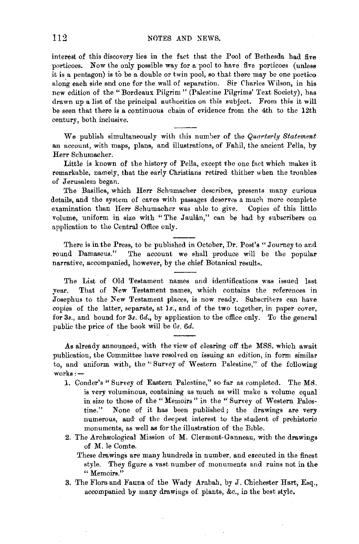interest of this discovery lies in the fact that the Pool of Bethesda had five porticoes. Now the only possible way for a pool to have five porticoes (unless it is a pentagon) is to be a double or twin pool, so that there may be one portico along each side and one for the wall of separation. Sir Charles Wilson, in his new edition of the" Bordeaux Pilgrim" (Palestine Pilgrims' Text Society), has drawn up a list of the principal authorities on this subject. From this it will be seen that there is a continuous chain of evidence from the 4th to the 12th century, both inclusive.

We publish simultaneously with this number of the *Quarterly Statement*  an account, with maps, plans, and illustrations, of Fahil, the ancient Pella, by Herr Schumacher.

Little is known of the history of Pella, except the one fact which makes it remarkable, namely, that the early Christians retired thither when the troubles of Jerusalem began.

The Basilica, which Herr Schumacher describes, presents many curious details, and the system of caves with passages deserves a much more complete examination than Herr Schumacher was able to give. Copies of this little volume, uniform in size with "The Jaulan," can be had by subscribers on application to the Central Office only.

There is in the Press, to be published in October, Dr. Post's "Journey to and round Damascus." The account we shall produce will be the popular narrative, accompanied, however, by the chief Botanical results,

The List of Old Testament names and identifications was issued last year. That of New Testament names, which contains the references in Josephus to the New Testament places, is now ready. Subscribers can have copies of the latter, separate, at 1s., and of the two together, in paper cover, for *3s.,* and bound for *3s. 6d.,* by application to the office only. To the general public the price of the book will be Gs. *6d.* 

As already announced, with the view of clearing off the MSS. which await publication, the Committee have resolved on issuing an edition, in form similar to, and uniform with, the " Survey of Western Palestine," of the following  $works:$   $-$ 

- 1. Conder's "Survey of Eastern Palestine," so far as completed. The MS. is very voluminous, containing as much as will make a volume equal in size to those of the " Memoirs " in the " Survey of Western Palestine." None of it has been published; the drawings are very numerous, and of the deepest interest to the student of prehistoric monuments, as well as for the illustration of the Bible.
- 2. The Archæological Mission of M. Clermont-Ganneau, with the drawings of M. le Comte.
	- These drawings are many hundreds in number, and executed in the finest style. They figure a vast number of monuments and ruins not in the **"Memoirs."**
- 3. The Flora and Fauna of the Wady Arabah, by J. Chichester Hart, Esq., accompanied by many drawings of plants, &c., in the best style,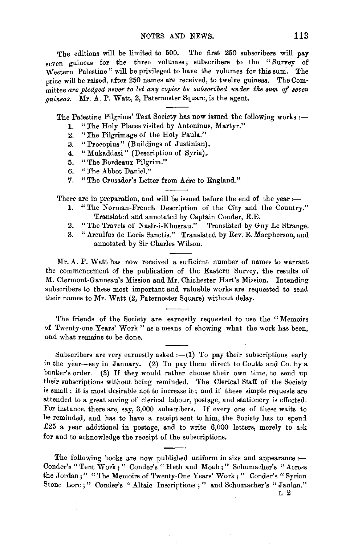The editions will be limited to 500. The first 250 subscribers will pay seven guineas for the three volumes; subscribers to the "Survey of Western Palestine " will be privileged to have the volumes for this sum. The price will be raised, after 250 names are received, to twelve guineas. The Committee are pledged never to let any copies be subscribed under the sum of seven *guineas.* Mr. A. P. Watt, 2, Paternoster Square, is the agent.

The Palestine Pilgrims' Text Society has now issued the following works *:-*

- 1. "The Holy Places visited by Antoninus, Martyr."
- 2. ''The Pilgrimage of the Holy Paula."
- 3. "Proeopius" (Buildings of Justinian).
- 4. "Mukaddasi" (Description of Syria).
- 5. "The Bordeaux Pilgrim."
- 6. "The Abbot Daniel."
- 7. "The Crusader's Letter from Acre to England."

There are in preparation, and will be issued before the end of the year: $-$ 

- 1. "The Norman-French Description of the City and the Country." Translated and annotated by Captain Conder, R.E.
- 2. "The Travels of Nasir-i-Khusrau." Translated by Guy Le Strange.
- 3. "Arculfus de Locis Sanctis." Translated by Rev. R. Macpherson, and annotated by Sir Charles Wilson.

Mr. A. P. Watt has now received a sufficient number of names to warrant the commencement of the publication of the Eastern Survey, the results of M. Clermont-Ganneau's Mission and Mr. Chichester Hart's Mission. Intending subscribers to these most important and valuable works are requested to send their names to Mr. Watt (2, Paternoster Square) without delay.

The friends of the Society are earnestly requested to use the " Memoirs of Twenty-one Years' Work" as a means of showing what the work has been, and what remains to be done.

Subscribers are very earnestly asked  $:-(1)$  To pay their subscriptions early in the year-say in January. (2) To pay them direct to Coutts and Co. by a banker's order. (3) If they would rather choose their own time, to send up their subscriptions without being reminded. The Clerical Staff of the Society is small; it is most desirable not to increase it; and if these simple requests are attended to a great saving of clerical labour, postage, and stationery is effected. For instance, there are, say, 3,000 subscribers. If every one of these waits to be reminded, and has to have a receipt sent to him, the Society has to spend £25 a year additional in postage, and to write  $6,000$  letters, merely to axk for and to acknowledge the receipt of the subscriptions.

The following books are now published uniform in size and appearance :-Conder's "Tent Work;" Conder's "Heth and Moab;" Schumacher's "Across the Jordan;" "The Memoirs of Twenty-One Years' Work;" Conder's "Syrian Stone Lore;" Conder's "Altaic Inscriptions;" and Schumacher's "Jaulan."

L 2